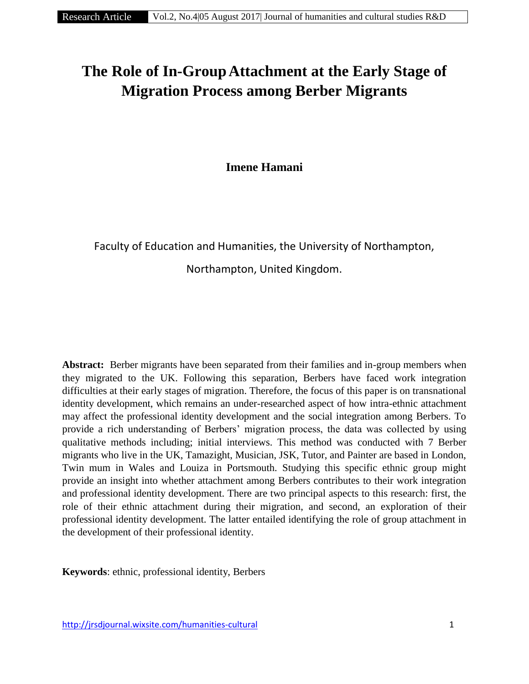# **The Role of In-GroupAttachment at the Early Stage of Migration Process among Berber Migrants**

**Imene Hamani**

Faculty of Education and Humanities, the University of Northampton,

Northampton, United Kingdom.

Abstract: Berber migrants have been separated from their families and in-group members when they migrated to the UK. Following this separation, Berbers have faced work integration difficulties at their early stages of migration. Therefore, the focus of this paper is on transnational identity development, which remains an under-researched aspect of how intra-ethnic attachment may affect the professional identity development and the social integration among Berbers. To provide a rich understanding of Berbers' migration process, the data was collected by using qualitative methods including; initial interviews. This method was conducted with 7 Berber migrants who live in the UK, Tamazight, Musician, JSK, Tutor, and Painter are based in London, Twin mum in Wales and Louiza in Portsmouth. Studying this specific ethnic group might provide an insight into whether attachment among Berbers contributes to their work integration and professional identity development. There are two principal aspects to this research: first, the role of their ethnic attachment during their migration, and second, an exploration of their professional identity development. The latter entailed identifying the role of group attachment in the development of their professional identity.

**Keywords**: ethnic, professional identity, Berbers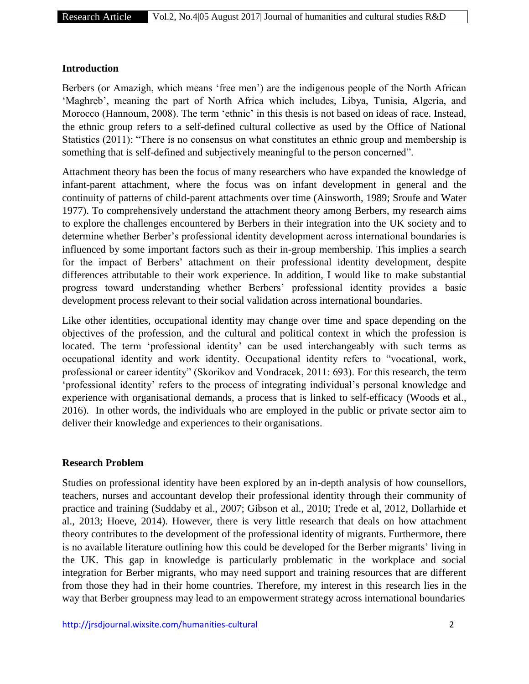## **Introduction**

Berbers (or Amazigh, which means 'free men') are the indigenous people of the North African 'Maghreb', meaning the part of North Africa which includes, Libya, Tunisia, Algeria, and Morocco (Hannoum, 2008). The term 'ethnic' in this thesis is not based on ideas of race. Instead, the ethnic group refers to a self-defined cultural collective as used by the Office of National Statistics (2011): "There is no consensus on what constitutes an ethnic group and membership is something that is self-defined and subjectively meaningful to the person concerned".

Attachment theory has been the focus of many researchers who have expanded the knowledge of infant-parent attachment, where the focus was on infant development in general and the continuity of patterns of child-parent attachments over time (Ainsworth, 1989; Sroufe and Water 1977). To comprehensively understand the attachment theory among Berbers, my research aims to explore the challenges encountered by Berbers in their integration into the UK society and to determine whether Berber's professional identity development across international boundaries is influenced by some important factors such as their in-group membership. This implies a search for the impact of Berbers' attachment on their professional identity development, despite differences attributable to their work experience. In addition, I would like to make substantial progress toward understanding whether Berbers' professional identity provides a basic development process relevant to their social validation across international boundaries.

Like other identities, occupational identity may change over time and space depending on the objectives of the profession, and the cultural and political context in which the profession is located. The term 'professional identity' can be used interchangeably with such terms as occupational identity and work identity. Occupational identity refers to "vocational, work, professional or career identity" (Skorikov and Vondracek, 2011: 693). For this research, the term 'professional identity' refers to the process of integrating individual's personal knowledge and experience with organisational demands, a process that is linked to self-efficacy (Woods et al., 2016). In other words, the individuals who are employed in the public or private sector aim to deliver their knowledge and experiences to their organisations.

# **Research Problem**

Studies on professional identity have been explored by an in-depth analysis of how counsellors, teachers, nurses and accountant develop their professional identity through their community of practice and training (Suddaby et al., 2007; Gibson et al., 2010; Trede et al, 2012, Dollarhide et al., 2013; Hoeve, 2014). However, there is very little research that deals on how attachment theory contributes to the development of the professional identity of migrants. Furthermore, there is no available literature outlining how this could be developed for the Berber migrants' living in the UK. This gap in knowledge is particularly problematic in the workplace and social integration for Berber migrants, who may need support and training resources that are different from those they had in their home countries. Therefore, my interest in this research lies in the way that Berber groupness may lead to an empowerment strategy across international boundaries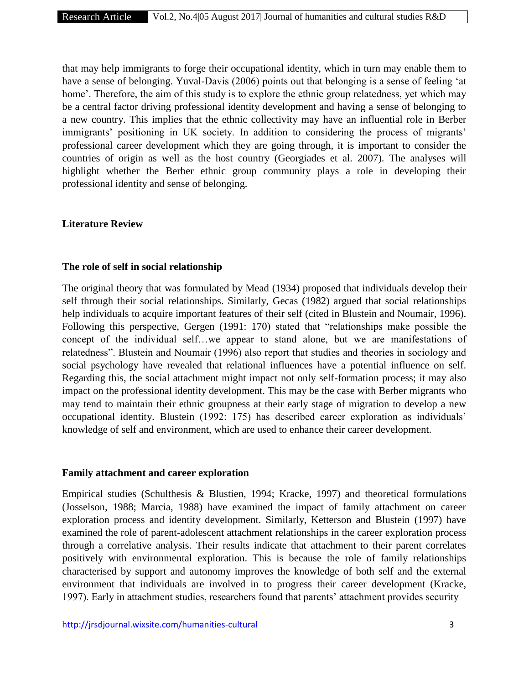that may help immigrants to forge their occupational identity, which in turn may enable them to have a sense of belonging. Yuval-Davis (2006) points out that belonging is a sense of feeling 'at home'. Therefore, the aim of this study is to explore the ethnic group relatedness, yet which may be a central factor driving professional identity development and having a sense of belonging to a new country. This implies that the ethnic collectivity may have an influential role in Berber immigrants' positioning in UK society. In addition to considering the process of migrants' professional career development which they are going through, it is important to consider the countries of origin as well as the host country (Georgiades et al. 2007). The analyses will highlight whether the Berber ethnic group community plays a role in developing their professional identity and sense of belonging.

#### **Literature Review**

## **The role of self in social relationship**

The original theory that was formulated by Mead (1934) proposed that individuals develop their self through their social relationships. Similarly, Gecas (1982) argued that social relationships help individuals to acquire important features of their self (cited in Blustein and Noumair, 1996). Following this perspective, Gergen (1991: 170) stated that "relationships make possible the concept of the individual self…we appear to stand alone, but we are manifestations of relatedness". Blustein and Noumair (1996) also report that studies and theories in sociology and social psychology have revealed that relational influences have a potential influence on self. Regarding this, the social attachment might impact not only self-formation process; it may also impact on the professional identity development. This may be the case with Berber migrants who may tend to maintain their ethnic groupness at their early stage of migration to develop a new occupational identity. Blustein (1992: 175) has described career exploration as individuals' knowledge of self and environment, which are used to enhance their career development.

#### **Family attachment and career exploration**

Empirical studies (Schulthesis & Blustien, 1994; Kracke, 1997) and theoretical formulations (Josselson, 1988; Marcia, 1988) have examined the impact of family attachment on career exploration process and identity development. Similarly, Ketterson and Blustein (1997) have examined the role of parent-adolescent attachment relationships in the career exploration process through a correlative analysis. Their results indicate that attachment to their parent correlates positively with environmental exploration. This is because the role of family relationships characterised by support and autonomy improves the knowledge of both self and the external environment that individuals are involved in to progress their career development (Kracke, 1997). Early in attachment studies, researchers found that parents' attachment provides security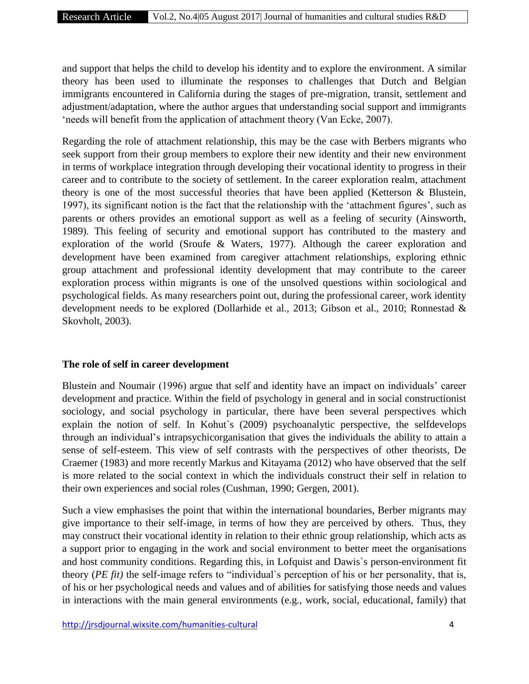and support that helps the child to develop his identity and to explore the environment. A similar theory has been used to illuminate the responses to challenges that Dutch and Belgian immigrants encountered in California during the stages of pre-migration, transit, settlement and adjustment/adaptation, where the author argues that understanding social support and immigrants 'needs will benefit from the application of attachment theory (Van Ecke, 2007).

Regarding the role of attachment relationship, this may be the case with Berbers migrants who seek support from their group members to explore their new identity and their new environment in terms of workplace integration through developing their vocational identity to progress in their career and to contribute to the society of settlement. In the career exploration realm, attachment theory is one of the most successful theories that have been applied (Ketterson & Blustein, 1997), its significant notion is the fact that the relationship with the 'attachment figures', such as parents or others provides an emotional support as well as a feeling of security (Ainsworth, 1989). This feeling of security and emotional support has contributed to the mastery and exploration of the world (Sroufe & Waters, 1977). Although the career exploration and development have been examined from caregiver attachment relationships, exploring ethnic group attachment and professional identity development that may contribute to the career exploration process within migrants is one of the unsolved questions within sociological and psychological fields. As many researchers point out, during the professional career, work identity development needs to be explored (Dollarhide et al., 2013; Gibson et al., 2010; Ronnestad & Skovholt, 2003).

#### **The role of self in career development**

Blustein and Noumair (1996) argue that self and identity have an impact on individuals' career development and practice. Within the field of psychology in general and in social constructionist sociology, and social psychology in particular, there have been several perspectives which explain the notion of self. In Kohut`s (2009) psychoanalytic perspective, the selfdevelops through an individual's intrapsychicorganisation that gives the individuals the ability to attain a sense of self-esteem. This view of self contrasts with the perspectives of other theorists, De Craemer (1983) and more recently Markus and Kitayama (2012) who have observed that the self is more related to the social context in which the individuals construct their self in relation to their own experiences and social roles (Cushman, 1990; Gergen, 2001).

Such a view emphasises the point that within the international boundaries, Berber migrants may give importance to their self-image, in terms of how they are perceived by others. Thus, they may construct their vocational identity in relation to their ethnic group relationship, which acts as a support prior to engaging in the work and social environment to better meet the organisations and host community conditions. Regarding this, in Lofquist and Dawis`s person-environment fit theory (*PE fit)* the self-image refers to "individual`s perception of his or her personality, that is, of his or her psychological needs and values and of abilities for satisfying those needs and values in interactions with the main general environments (e.g., work, social, educational, family) that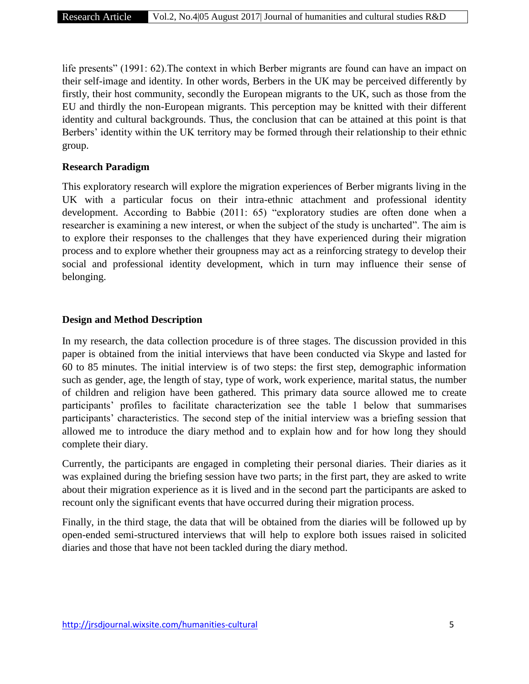life presents" (1991: 62).The context in which Berber migrants are found can have an impact on their self-image and identity. In other words, Berbers in the UK may be perceived differently by firstly, their host community, secondly the European migrants to the UK, such as those from the EU and thirdly the non-European migrants. This perception may be knitted with their different identity and cultural backgrounds. Thus, the conclusion that can be attained at this point is that Berbers' identity within the UK territory may be formed through their relationship to their ethnic group.

## **Research Paradigm**

This exploratory research will explore the migration experiences of Berber migrants living in the UK with a particular focus on their intra-ethnic attachment and professional identity development. According to Babbie (2011: 65) "exploratory studies are often done when a researcher is examining a new interest, or when the subject of the study is uncharted". The aim is to explore their responses to the challenges that they have experienced during their migration process and to explore whether their groupness may act as a reinforcing strategy to develop their social and professional identity development, which in turn may influence their sense of belonging.

## **Design and Method Description**

In my research, the data collection procedure is of three stages. The discussion provided in this paper is obtained from the initial interviews that have been conducted via Skype and lasted for 60 to 85 minutes. The initial interview is of two steps: the first step, demographic information such as gender, age, the length of stay, type of work, work experience, marital status, the number of children and religion have been gathered. This primary data source allowed me to create participants' profiles to facilitate characterization see the table 1 below that summarises participants' characteristics. The second step of the initial interview was a briefing session that allowed me to introduce the diary method and to explain how and for how long they should complete their diary.

Currently, the participants are engaged in completing their personal diaries. Their diaries as it was explained during the briefing session have two parts; in the first part, they are asked to write about their migration experience as it is lived and in the second part the participants are asked to recount only the significant events that have occurred during their migration process.

Finally, in the third stage, the data that will be obtained from the diaries will be followed up by open-ended semi-structured interviews that will help to explore both issues raised in solicited diaries and those that have not been tackled during the diary method.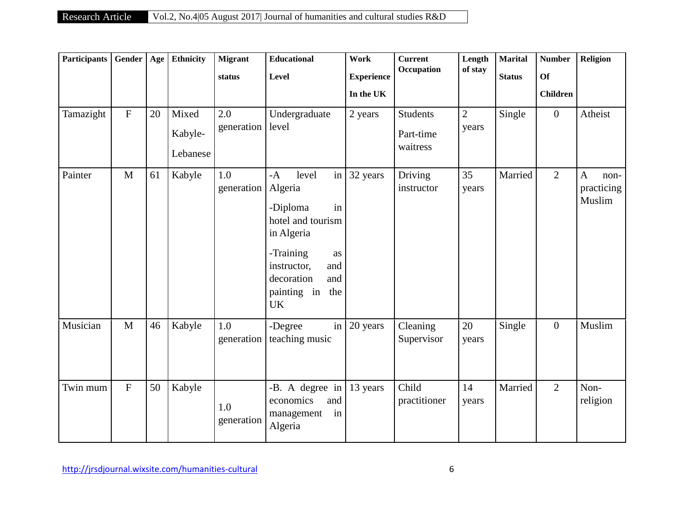| <b>Participants</b> | Gender         | Age | Ethnicity                    | <b>Migrant</b>    | <b>Educational</b>                                                                                                                                                                              | Work                           | <b>Current</b><br>Occupation             | Length<br>of stay       | <b>Marital</b> | <b>Number</b>                | Religion                                     |
|---------------------|----------------|-----|------------------------------|-------------------|-------------------------------------------------------------------------------------------------------------------------------------------------------------------------------------------------|--------------------------------|------------------------------------------|-------------------------|----------------|------------------------------|----------------------------------------------|
|                     |                |     |                              | status            | Level                                                                                                                                                                                           | <b>Experience</b><br>In the UK |                                          |                         | <b>Status</b>  | <b>Of</b><br><b>Children</b> |                                              |
| Tamazight           | $\mathbf F$    | 20  | Mixed<br>Kabyle-<br>Lebanese | 2.0<br>generation | Undergraduate<br>level                                                                                                                                                                          | 2 years                        | <b>Students</b><br>Part-time<br>waitress | $\overline{2}$<br>years | Single         | $\mathbf{0}$                 | Atheist                                      |
| Painter             | $\mathbf{M}$   | 61  | Kabyle                       | 1.0<br>generation | $\frac{1}{2}$<br>level<br>$-A$<br>Algeria<br>-Diploma<br>in<br>hotel and tourism<br>in Algeria<br>-Training<br>as<br>instructor,<br>and<br>decoration<br>and<br>painting in<br>the<br><b>UK</b> | 32 years                       | Driving<br>instructor                    | 35<br>years             | Married        | $\overline{2}$               | $\mathbf{A}$<br>non-<br>practicing<br>Muslim |
| Musician            | $\mathbf{M}$   | 46  | Kabyle                       | 1.0<br>generation | in<br>-Degree<br>teaching music                                                                                                                                                                 | 20 years                       | Cleaning<br>Supervisor                   | 20<br>years             | Single         | $\mathbf{0}$                 | Muslim                                       |
| Twin mum            | $\overline{F}$ | 50  | Kabyle                       | 1.0<br>generation | -B. A degree in<br>and<br>economics<br>management<br>in<br>Algeria                                                                                                                              | 13 years                       | Child<br>practitioner                    | 14<br>years             | Married        | $\overline{2}$               | Non-<br>religion                             |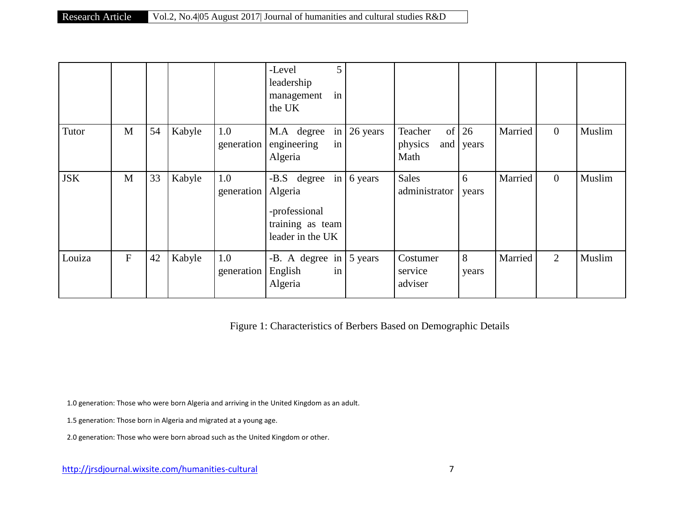|            |                |    |        |                             | 5<br>-Level<br>leadership<br>in<br>management<br>the UK                 |         |                                         |             |         |                |        |
|------------|----------------|----|--------|-----------------------------|-------------------------------------------------------------------------|---------|-----------------------------------------|-------------|---------|----------------|--------|
| Tutor      | $\mathbf{M}$   | 54 | Kabyle | 1.0<br>generation           | M.A degree in $26$ years<br>engineering<br>in<br>Algeria                |         | Teacher<br>of<br>physics<br>and<br>Math | 26<br>years | Married | $\overline{0}$ | Muslim |
| <b>JSK</b> | M              | 33 | Kabyle | 1.0<br>generation   Algeria | -B.S degree in<br>-professional<br>training as team<br>leader in the UK | 6 years | <b>Sales</b><br>administrator           | 6<br>years  | Married | $\overline{0}$ | Muslim |
| Louiza     | $\overline{F}$ | 42 | Kabyle | 1.0<br>generation           | -B. A degree in $\vert 5 \rangle$ years<br>English<br>in<br>Algeria     |         | Costumer<br>service<br>adviser          | 8<br>years  | Married | 2              | Muslim |

Figure 1: Characteristics of Berbers Based on Demographic Details

1.0 generation: Those who were born Algeria and arriving in the United Kingdom as an adult.

1.5 generation: Those born in Algeria and migrated at a young age.

2.0 generation: Those who were born abroad such as the United Kingdom or other.

http://jrsdjournal.wixsite.com/humanities-cultural 7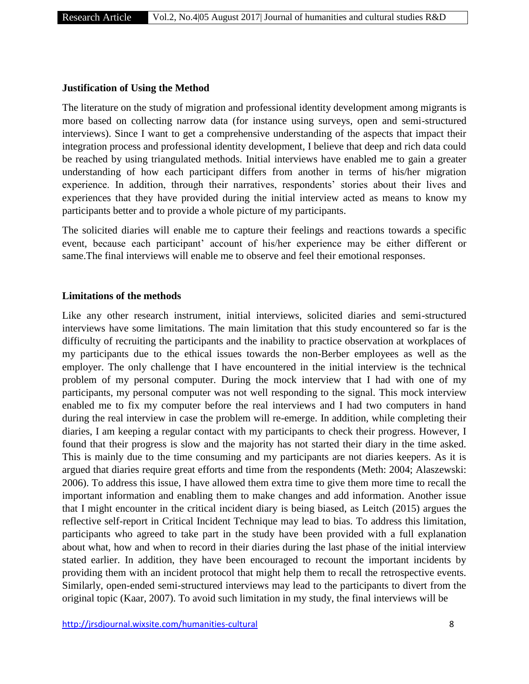#### **Justification of Using the Method**

The literature on the study of migration and professional identity development among migrants is more based on collecting narrow data (for instance using surveys, open and semi-structured interviews). Since I want to get a comprehensive understanding of the aspects that impact their integration process and professional identity development, I believe that deep and rich data could be reached by using triangulated methods. Initial interviews have enabled me to gain a greater understanding of how each participant differs from another in terms of his/her migration experience. In addition, through their narratives, respondents' stories about their lives and experiences that they have provided during the initial interview acted as means to know my participants better and to provide a whole picture of my participants.

The solicited diaries will enable me to capture their feelings and reactions towards a specific event, because each participant' account of his/her experience may be either different or same.The final interviews will enable me to observe and feel their emotional responses.

#### **Limitations of the methods**

Like any other research instrument, initial interviews, solicited diaries and semi-structured interviews have some limitations. The main limitation that this study encountered so far is the difficulty of recruiting the participants and the inability to practice observation at workplaces of my participants due to the ethical issues towards the non-Berber employees as well as the employer. The only challenge that I have encountered in the initial interview is the technical problem of my personal computer. During the mock interview that I had with one of my participants, my personal computer was not well responding to the signal. This mock interview enabled me to fix my computer before the real interviews and I had two computers in hand during the real interview in case the problem will re-emerge. In addition, while completing their diaries, I am keeping a regular contact with my participants to check their progress. However, I found that their progress is slow and the majority has not started their diary in the time asked. This is mainly due to the time consuming and my participants are not diaries keepers. As it is argued that diaries require great efforts and time from the respondents (Meth: 2004; Alaszewski: 2006). To address this issue, I have allowed them extra time to give them more time to recall the important information and enabling them to make changes and add information. Another issue that I might encounter in the critical incident diary is being biased, as Leitch (2015) argues the reflective self-report in Critical Incident Technique may lead to bias. To address this limitation, participants who agreed to take part in the study have been provided with a full explanation about what, how and when to record in their diaries during the last phase of the initial interview stated earlier. In addition, they have been encouraged to recount the important incidents by providing them with an incident protocol that might help them to recall the retrospective events. Similarly, open-ended semi-structured interviews may lead to the participants to divert from the original topic (Kaar, 2007). To avoid such limitation in my study, the final interviews will be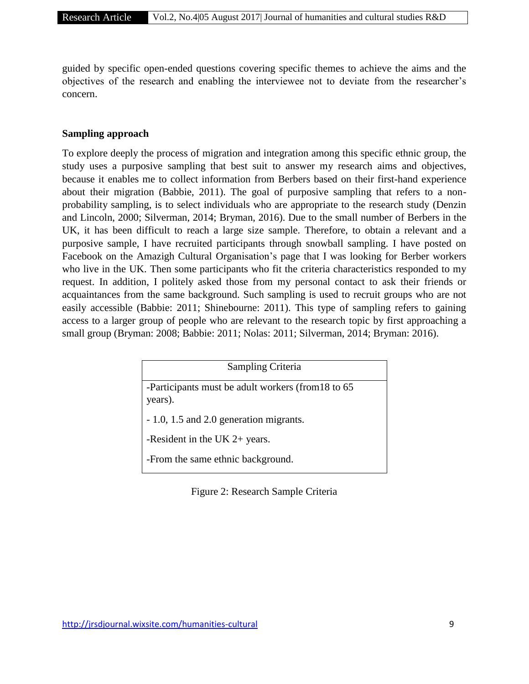guided by specific open-ended questions covering specific themes to achieve the aims and the objectives of the research and enabling the interviewee not to deviate from the researcher's concern.

#### **Sampling approach**

To explore deeply the process of migration and integration among this specific ethnic group, the study uses a purposive sampling that best suit to answer my research aims and objectives, because it enables me to collect information from Berbers based on their first-hand experience about their migration (Babbie, 2011). The goal of purposive sampling that refers to a nonprobability sampling, is to select individuals who are appropriate to the research study (Denzin and Lincoln, 2000; Silverman, 2014; Bryman, 2016). Due to the small number of Berbers in the UK, it has been difficult to reach a large size sample. Therefore, to obtain a relevant and a purposive sample, I have recruited participants through snowball sampling. I have posted on Facebook on the Amazigh Cultural Organisation's page that I was looking for Berber workers who live in the UK. Then some participants who fit the criteria characteristics responded to my request. In addition, I politely asked those from my personal contact to ask their friends or acquaintances from the same background. Such sampling is used to recruit groups who are not easily accessible (Babbie: 2011; Shinebourne: 2011). This type of sampling refers to gaining access to a larger group of people who are relevant to the research topic by first approaching a small group (Bryman: 2008; Babbie: 2011; Nolas: 2011; Silverman, 2014; Bryman: 2016).

| Sampling Criteria                                   |
|-----------------------------------------------------|
|                                                     |
| -Participants must be adult workers (from 18 to 65) |
| years).                                             |
|                                                     |
|                                                     |
| - 1.0, 1.5 and 2.0 generation migrants.             |
|                                                     |
| -Resident in the UK $2+$ years.                     |
|                                                     |
| -From the same ethnic background.                   |
|                                                     |
|                                                     |

Figure 2: Research Sample Criteria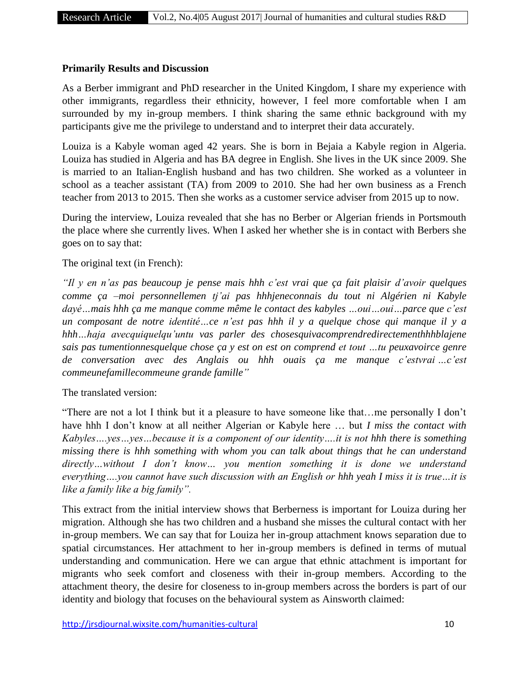## **Primarily Results and Discussion**

As a Berber immigrant and PhD researcher in the United Kingdom, I share my experience with other immigrants, regardless their ethnicity, however, I feel more comfortable when I am surrounded by my in-group members. I think sharing the same ethnic background with my participants give me the privilege to understand and to interpret their data accurately.

Louiza is a Kabyle woman aged 42 years. She is born in Bejaia a Kabyle region in Algeria. Louiza has studied in Algeria and has BA degree in English. She lives in the UK since 2009. She is married to an Italian-English husband and has two children. She worked as a volunteer in school as a teacher assistant (TA) from 2009 to 2010. She had her own business as a French teacher from 2013 to 2015. Then she works as a customer service adviser from 2015 up to now.

During the interview, Louiza revealed that she has no Berber or Algerian friends in Portsmouth the place where she currently lives. When I asked her whether she is in contact with Berbers she goes on to say that:

#### The original text (in French):

*"Il y en n'as pas beaucoup je pense mais hhh c'est vrai que ça fait plaisir d'avoir quelques comme ça –moi personnellemen tj'ai pas hhhjeneconnais du tout ni Algérien ni Kabyle dayé…mais hhh ça me manque comme même le contact des kabyles …oui…oui…parce que c'est un composant de notre identité…ce n'est pas hhh il y a quelque chose qui manque il y a hhh…haja avecquiquelqu'untu vas parler des chosesquivacomprendredirectementhhhblajene sais pas tumentionnesquelque chose ça y est on est on comprend et tout …tu peuxavoirce genre de conversation avec des Anglais ou hhh ouais ça me manque c'estvrai …c'est commeunefamillecommeune grande famille"* 

The translated version:

"There are not a lot I think but it a pleasure to have someone like that…me personally I don't have hhh I don't know at all neither Algerian or Kabyle here … but *I miss the contact with Kabyles….yes…yes…because it is a component of our identity….it is not hhh there is something missing there is hhh something with whom you can talk about things that he can understand directly…without I don't know… you mention something it is done we understand everything….you cannot have such discussion with an English or hhh yeah I miss it is true…it is like a family like a big family".*

This extract from the initial interview shows that Berberness is important for Louiza during her migration. Although she has two children and a husband she misses the cultural contact with her in-group members. We can say that for Louiza her in-group attachment knows separation due to spatial circumstances. Her attachment to her in-group members is defined in terms of mutual understanding and communication. Here we can argue that ethnic attachment is important for migrants who seek comfort and closeness with their in-group members. According to the attachment theory, the desire for closeness to in-group members across the borders is part of our identity and biology that focuses on the behavioural system as Ainsworth claimed: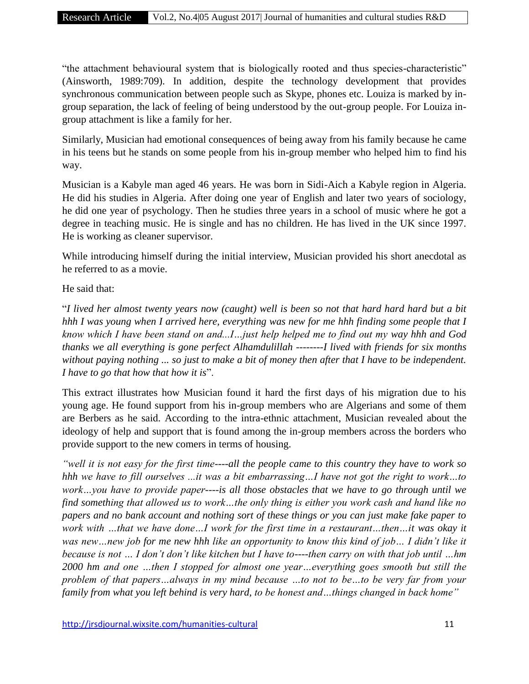"the attachment behavioural system that is biologically rooted and thus species-characteristic" (Ainsworth, 1989:709). In addition, despite the technology development that provides synchronous communication between people such as Skype, phones etc. Louiza is marked by ingroup separation, the lack of feeling of being understood by the out-group people. For Louiza ingroup attachment is like a family for her.

Similarly, Musician had emotional consequences of being away from his family because he came in his teens but he stands on some people from his in-group member who helped him to find his way.

Musician is a Kabyle man aged 46 years. He was born in Sidi-Aich a Kabyle region in Algeria. He did his studies in Algeria. After doing one year of English and later two years of sociology, he did one year of psychology. Then he studies three years in a school of music where he got a degree in teaching music. He is single and has no children. He has lived in the UK since 1997. He is working as cleaner supervisor.

While introducing himself during the initial interview, Musician provided his short anecdotal as he referred to as a movie.

He said that:

"*I lived her almost twenty years now (caught) well is been so not that hard hard hard but a bit hhh I was young when I arrived here, everything was new for me hhh finding some people that I know which I have been stand on and...I…just help helped me to find out my way hhh and God thanks we all everything is gone perfect Alhamdulillah --------I lived with friends for six months without paying nothing ... so just to make a bit of money then after that I have to be independent. I have to go that how that how it is*".

This extract illustrates how Musician found it hard the first days of his migration due to his young age. He found support from his in-group members who are Algerians and some of them are Berbers as he said. According to the intra-ethnic attachment, Musician revealed about the ideology of help and support that is found among the in-group members across the borders who provide support to the new comers in terms of housing.

*"well it is not easy for the first time*----*all the people came to this country they have to work so hhh we have to fill ourselves ...it was a bit embarrassing…I have not got the right to work…to work…you have to provide paper----is all those obstacles that we have to go through until we find something that allowed us to work…the only thing is either you work cash and hand like no papers and no bank account and nothing sort of these things or you can just make fake paper to work with …that we have done…I work for the first time in a restaurant…then…it was okay it was new…new job for me new hhh like an opportunity to know this kind of job… I didn't like it because is not … I don't don't like kitchen but I have to----then carry on with that job until …hm 2000 hm and one …then I stopped for almost one year…everything goes smooth but still the problem of that papers…always in my mind because …to not to be…to be very far from your family from what you left behind is very hard, to be honest and…things changed in back home"*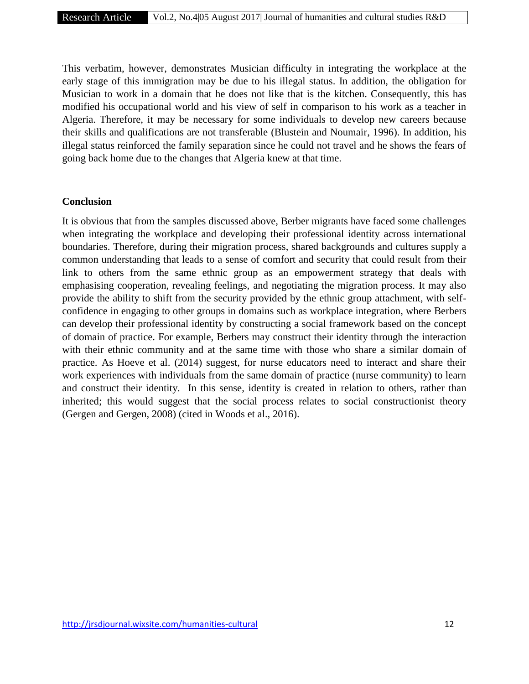This verbatim, however, demonstrates Musician difficulty in integrating the workplace at the early stage of this immigration may be due to his illegal status. In addition, the obligation for Musician to work in a domain that he does not like that is the kitchen. Consequently, this has modified his occupational world and his view of self in comparison to his work as a teacher in Algeria. Therefore, it may be necessary for some individuals to develop new careers because their skills and qualifications are not transferable (Blustein and Noumair, 1996). In addition, his illegal status reinforced the family separation since he could not travel and he shows the fears of going back home due to the changes that Algeria knew at that time.

#### **Conclusion**

It is obvious that from the samples discussed above, Berber migrants have faced some challenges when integrating the workplace and developing their professional identity across international boundaries. Therefore, during their migration process, shared backgrounds and cultures supply a common understanding that leads to a sense of comfort and security that could result from their link to others from the same ethnic group as an empowerment strategy that deals with emphasising cooperation, revealing feelings, and negotiating the migration process. It may also provide the ability to shift from the security provided by the ethnic group attachment, with selfconfidence in engaging to other groups in domains such as workplace integration, where Berbers can develop their professional identity by constructing a social framework based on the concept of domain of practice. For example, Berbers may construct their identity through the interaction with their ethnic community and at the same time with those who share a similar domain of practice. As Hoeve et al. (2014) suggest, for nurse educators need to interact and share their work experiences with individuals from the same domain of practice (nurse community) to learn and construct their identity. In this sense, identity is created in relation to others, rather than inherited; this would suggest that the social process relates to social constructionist theory (Gergen and Gergen, 2008) (cited in Woods et al., 2016).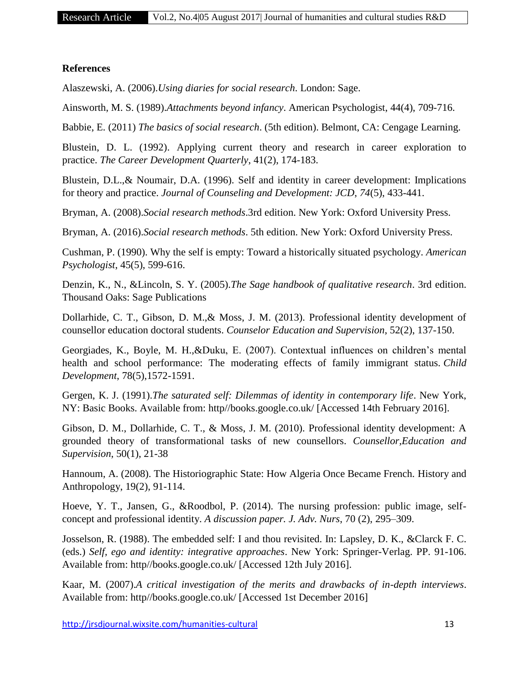## **References**

Alaszewski, A. (2006).*Using diaries for social research*. London: Sage.

Ainsworth, M. S. (1989).*Attachments beyond infancy*. American Psychologist, 44(4), 709-716.

Babbie, E. (2011) *The basics of social research*. (5th edition). Belmont, CA: Cengage Learning.

Blustein, D. L. (1992). Applying current theory and research in career exploration to practice. *The Career Development Quarterly*, 41(2), 174-183.

Blustein, D.L.,& Noumair, D.A. (1996). Self and identity in career development: Implications for theory and practice. *Journal of Counseling and Development: JCD*, *74*(5), 433-441.

Bryman, A. (2008).*Social research methods*.3rd edition. New York: Oxford University Press.

Bryman, A. (2016).*Social research methods*. 5th edition. New York: Oxford University Press.

Cushman, P. (1990). Why the self is empty: Toward a historically situated psychology. *American Psychologist*, 45(5), 599-616.

Denzin, K., N., &Lincoln, S. Y. (2005).*The Sage handbook of qualitative research*. 3rd edition. Thousand Oaks: Sage Publications

Dollarhide, C. T., Gibson, D. M.,& Moss, J. M. (2013). Professional identity development of counsellor education doctoral students. *Counselor Education and Supervision*, 52(2), 137-150.

Georgiades, K., Boyle, M. H.,&Duku, E. (2007). Contextual influences on children's mental health and school performance: The moderating effects of family immigrant status. *Child Development*, 78(5),1572-1591.

Gergen, K. J. (1991).*The saturated self: Dilemmas of identity in contemporary life*. New York, NY: Basic Books. Available from: http//books.google.co.uk/ [Accessed 14th February 2016].

Gibson, D. M., Dollarhide, C. T., & Moss, J. M. (2010). Professional identity development: A grounded theory of transformational tasks of new counsellors. *Counsellor,Education and Supervision*, 50(1), 21-38

Hannoum, A. (2008). The Historiographic State: How Algeria Once Became French. History and Anthropology, 19(2), 91-114.

Hoeve, Y. T., Jansen, G., &Roodbol, P. (2014). The nursing profession: public image, selfconcept and professional identity. *A discussion paper. J. Adv. Nurs*, 70 (2), 295–309.

Josselson, R. (1988). The embedded self: I and thou revisited. In: Lapsley, D. K., &Clarck F. C. (eds.) *Self, ego and identity: integrative approaches*. New York: Springer-Verlag. PP. 91-106. Available from: http//books.google.co.uk/ [Accessed 12th July 2016].

Kaar, M. (2007).*A critical investigation of the merits and drawbacks of in-depth interviews*. Available from: http//books.google.co.uk/ [Accessed 1st December 2016]

http://jrsdjournal.wixsite.com/humanities-cultural 13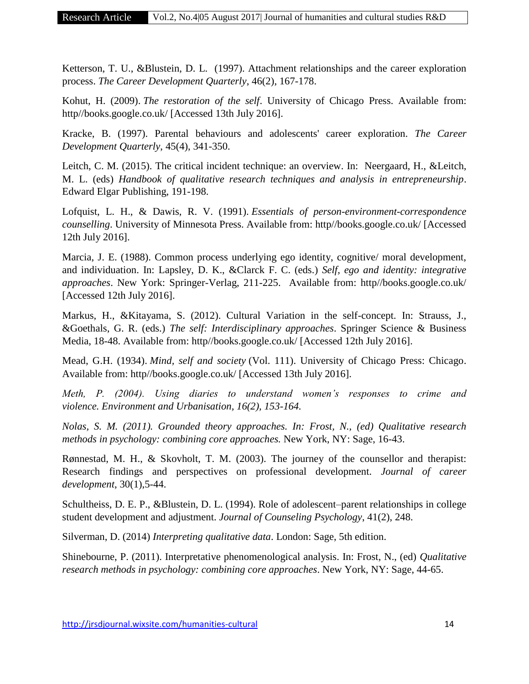Ketterson, T. U., &Blustein, D. L. (1997). Attachment relationships and the career exploration process. *The Career Development Quarterly*, 46(2), 167-178.

Kohut, H. (2009). *The restoration of the self*. University of Chicago Press. Available from: http//books.google.co.uk/ [Accessed 13th July 2016].

Kracke, B. (1997). Parental behaviours and adolescents' career exploration. *The Career Development Quarterly*, 45(4), 341-350.

Leitch, C. M. (2015). The critical incident technique: an overview. In: Neergaard, H., &Leitch, M. L. (eds) *Handbook of qualitative research techniques and analysis in entrepreneurship*. Edward Elgar Publishing, 191-198.

Lofquist, L. H., & Dawis, R. V. (1991). *Essentials of person-environment-correspondence counselling*. University of Minnesota Press. Available from: http//books.google.co.uk/ [Accessed 12th July 2016].

Marcia, J. E. (1988). Common process underlying ego identity, cognitive/ moral development, and individuation. In: Lapsley, D. K., &Clarck F. C. (eds.) *Self, ego and identity: integrative approaches*. New York: Springer-Verlag, 211-225. Available from: http//books.google.co.uk/ [Accessed 12th July 2016].

Markus, H., &Kitayama, S. (2012). Cultural Variation in the self-concept. In: Strauss, J., &Goethals, G. R. (eds.) *The self: Interdisciplinary approaches*. Springer Science & Business Media, 18-48. Available from: http//books.google.co.uk/ [Accessed 12th July 2016].

Mead, G.H. (1934). *Mind, self and society* (Vol. 111). University of Chicago Press: Chicago. Available from: http//books.google.co.uk/ [Accessed 13th July 2016].

*Meth, P. (2004). Using diaries to understand women's responses to crime and violence. Environment and Urbanisation, 16(2), 153-164.*

*Nolas, S. M. (2011). Grounded theory approaches. In: Frost, N., (ed) Qualitative research methods in psychology: combining core approaches.* New York, NY: Sage, 16-43.

Rønnestad, M. H., & Skovholt, T. M. (2003). The journey of the counsellor and therapist: Research findings and perspectives on professional development. *Journal of career development*, 30(1),5-44.

Schultheiss, D. E. P., &Blustein, D. L. (1994). Role of adolescent–parent relationships in college student development and adjustment. *Journal of Counseling Psychology*, 41(2), 248.

Silverman, D. (2014) *Interpreting qualitative data*. London: Sage, 5th edition.

Shinebourne, P. (2011). Interpretative phenomenological analysis. In: Frost, N., (ed) *Qualitative research methods in psychology: combining core approaches*. New York, NY: Sage, 44-65.